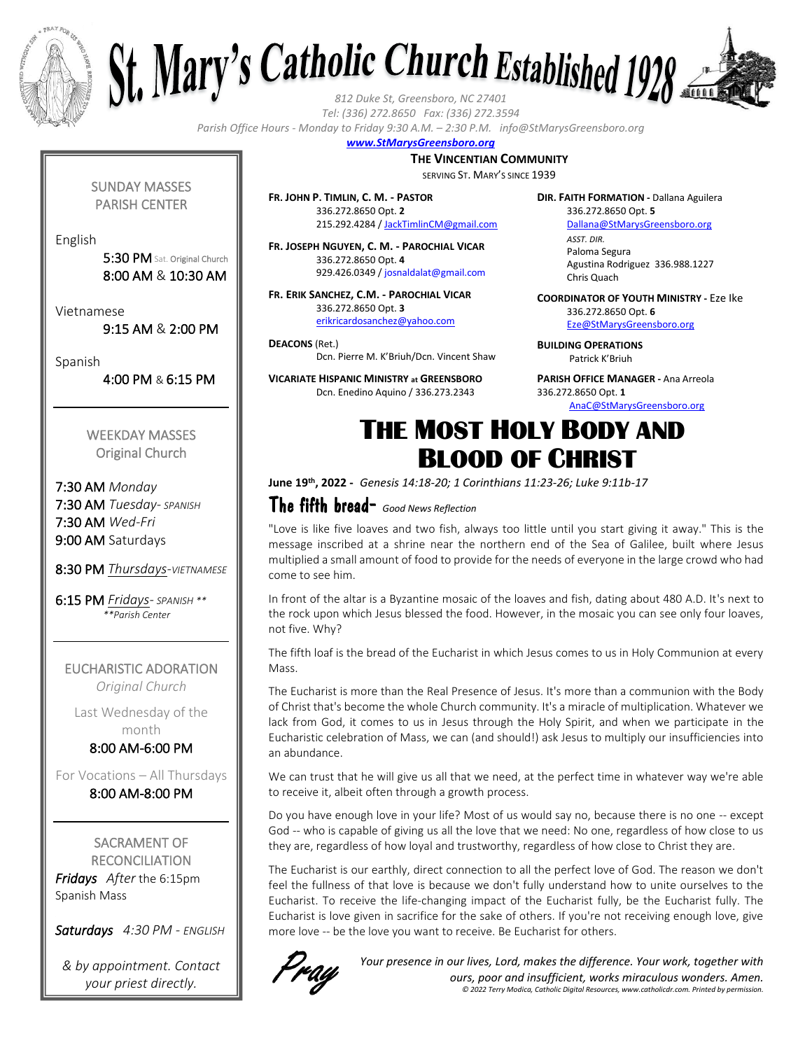



*Tel: (336) 272.8650 Fax: (336) 272.3594*

*Parish Office Hours - Monday to Friday 9:30 A.M. – 2:30 P.M. info@StMarysGreensboro.org*

#### *www.StMarysGreensboro.org*

#### **THE VINCENTIAN COMMUNITY**

SERVING ST. MARY'S SINCE 1939

**FR. JOHN P. TIMLIN, C. M. - PASTOR** 336.272.8650 Opt. **2** 215.292.4284 / JackTimlinCM@gmail.com

**FR. JOSEPH NGUYEN, C. M. - PAROCHIAL VICAR** 336.272.8650 Opt. **4** 929.426.0349 / josnaldalat@gmail.com

**FR. ERIK SANCHEZ, C.M. - PAROCHIAL VICAR** 336.272.8650 Opt. **3** erikricardosanchez@yahoo.com

**DEACONS** (Ret.) Dcn. Pierre M. K'Briuh/Dcn. Vincent Shaw

**VICARIATE HISPANIC MINISTRY at GREENSBORO** Dcn. Enedino Aquino / 336.273.2343

**DIR. FAITH FORMATION -** Dallana Aguilera 336.272.8650 Opt. **5**

Dallana@StMarysGreensboro.org *ASST. DIR.* Paloma Segura Agustina Rodriguez 336.988.1227 Chris Quach

**COORDINATOR OF YOUTH MINISTRY -** Eze Ike 336.272.8650 Opt. **6**

Eze@StMarysGreensboro.org

**BUILDING OPERATIONS**  Patrick K'Briuh

**PARISH OFFICE MANAGER -** Ana Arreola 336.272.8650 Opt. **1**

AnaC@StMarysGreensboro.org

## THE MOST HOLY BODY AND BLOOD OF CHRIST

**June 19 th, 2022 -** *Genesis 14:18-20; 1 Corinthians 11:23-26; Luke 9:11b-17*

### The fifth bread- *Good News Reflection*

"Love is like five loaves and two fish, always too little until you start giving it away." This is the message inscribed at a shrine near the northern end of the Sea of Galilee, built where Jesus multiplied a small amount of food to provide for the needs of everyone in the large crowd who had come to see him.

In front of the altar is a Byzantine mosaic of the loaves and fish, dating about 480 A.D. It's next to the rock upon which Jesus blessed the food. However, in the mosaic you can see only four loaves, not five. Why?

The fifth loaf is the bread of the Eucharist in which Jesus comes to us in Holy Communion at every Mass.

The Eucharist is more than the Real Presence of Jesus. It's more than a communion with the Body of Christ that's become the whole Church community. It's a miracle of multiplication. Whatever we lack from God, it comes to us in Jesus through the Holy Spirit, and when we participate in the Eucharistic celebration of Mass, we can (and should!) ask Jesus to multiply our insufficiencies into an abundance.

We can trust that he will give us all that we need, at the perfect time in whatever way we're able to receive it, albeit often through a growth process.

Do you have enough love in your life? Most of us would say no, because there is no one -- except God -- who is capable of giving us all the love that we need: No one, regardless of how close to us they are, regardless of how loyal and trustworthy, regardless of how close to Christ they are.

The Eucharist is our earthly, direct connection to all the perfect love of God. The reason we don't feel the fullness of that love is because we don't fully understand how to unite ourselves to the Eucharist. To receive the life-changing impact of the Eucharist fully, be the Eucharist fully. The Eucharist is love given in sacrifice for the sake of others. If you're not receiving enough love, give more love -- be the love you want to receive. Be Eucharist for others.



*Your presence in our lives, Lord, makes the difference. Your work, together with ours, poor and insufficient, works miraculous wonders. Amen. © 2022 Terry Modica, Catholic Digital Resources, www.catholicdr.com. Printed by permission.*

SUNDAY MASSES PARISH CENTER

English

5:30 PM Sat. Original Church 8:00 AM & 10:30 AM

Vietnamese

9:15 AM & 2:00 PM

Spanish

4:00 PM & 6:15 PM

WEEKDAY MASSES Original Church

7:30 AM *Monday* 7:30 AM *Tuesday- SPANISH* 7:30 AM *Wed-Fri* 9:00 AM Saturdays

8:30 PM *Thursdays-VIETNAMESE*

6:15 PM *Fridays- SPANISH \*\* \*\*Parish Center*

EUCHARISTIC ADORATION *Original Church*

Last Wednesday of the month

8:00 AM-6:00 PM

For Vocations – All Thursdays 8:00 AM-8:00 PM

SACRAMENT OF **RECONCILIATION** *Fridays After* the 6:15pm Spanish Mass

*Saturdays 4:30 PM - ENGLISH*

*& by appointment. Contact your priest directly.*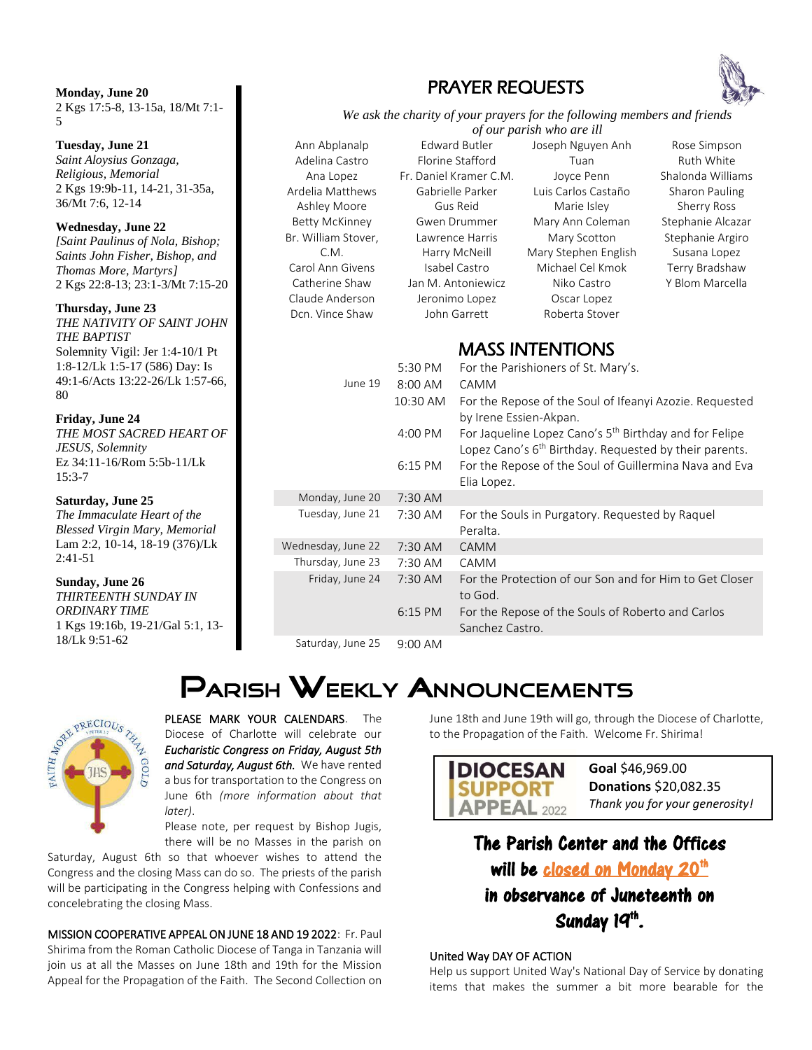**Monday, June 20** 2 Kgs 17:5-8, 13-15a, 18/Mt 7:1- 5

**Tuesday, June 21** *Saint Aloysius Gonzaga, Religious, Memorial*  2 Kgs 19:9b-11, 14-21, 31-35a, 36/Mt 7:6, 12-14

**Wednesday, June 22** *[Saint Paulinus of Nola, Bishop; Saints John Fisher, Bishop, and Thomas More, Martyrs]*  2 Kgs 22:8-13; 23:1-3/Mt 7:15-20

**Thursday, June 23** *THE NATIVITY OF SAINT JOHN THE BAPTIST* Solemnity Vigil: Jer 1:4-10/1 Pt 1:8-12/Lk 1:5-17 (586) Day: Is 49:1-6/Acts 13:22-26/Lk 1:57-66, 80

#### **Friday, June 24**

*THE MOST SACRED HEART OF JESUS, Solemnity*  Ez 34:11-16/Rom 5:5b-11/Lk 15:3-7

#### **Saturday, June 25**

*The Immaculate Heart of the Blessed Virgin Mary, Memorial* Lam 2:2, 10-14, 18-19 (376)/Lk 2:41-51

#### **Sunday, June 26**

*THIRTEENTH SUNDAY IN ORDINARY TIME*  1 Kgs 19:16b, 19-21/Gal 5:1, 13- 18/Lk 9:51-62

### PRAYER REQUESTS



*We ask the charity of your prayers for the following members and friends of our parish who are ill*

Ann Abplanalp Adelina Castro Ana Lopez Ardelia Matthews Ashley Moore Betty McKinney Br. William Stover, C.M. Carol Ann Givens Catherine Shaw Claude Anderson Dcn. Vince Shaw

Edward Butler Florine Stafford Fr. Daniel Kramer C.M. Gabrielle Parker Gus Reid Gwen Drummer Lawrence Harris Harry McNeill Isabel Castro Jan M. Antoniewicz Jeronimo Lopez John Garrett

Joseph Nguyen Anh Tuan Joyce Penn Luis Carlos Castaño Marie Isley Mary Ann Coleman Mary Scotton Mary Stephen English Michael Cel Kmok Niko Castro Oscar Lopez Roberta Stover

Rose Simpson Ruth White Shalonda Williams Sharon Pauling Sherry Ross Stephanie Alcazar Stephanie Argiro Susana Lopez Terry Bradshaw Y Blom Marcella

### MASS INTENTIONS

|                    | 5:30 PM           | For the Parishioners of St. Mary's.                                                                                                      |
|--------------------|-------------------|------------------------------------------------------------------------------------------------------------------------------------------|
| June 19            | 8:00 AM           | CAMM                                                                                                                                     |
|                    | 10:30 AM          | For the Repose of the Soul of Ifeanyi Azozie. Requested<br>by Irene Essien-Akpan.                                                        |
|                    | 4:00 PM           | For Jaqueline Lopez Cano's 5 <sup>th</sup> Birthday and for Felipe<br>Lopez Cano's 6 <sup>th</sup> Birthday. Requested by their parents. |
|                    | $6:15$ PM         | For the Repose of the Soul of Guillermina Nava and Eva<br>Elia Lopez.                                                                    |
| Monday, June 20    | $7:30$ AM         |                                                                                                                                          |
| Tuesday, June 21   | 7:30 AM           | For the Souls in Purgatory. Requested by Raquel<br>Peralta.                                                                              |
| Wednesday, June 22 | 7:30 AM           | <b>CAMM</b>                                                                                                                              |
| Thursday, June 23  | 7:30 AM           | CAMM                                                                                                                                     |
| Friday, June 24    | 7:30 AM           | For the Protection of our Son and for Him to Get Closer<br>to God.                                                                       |
|                    | $6:15$ PM         | For the Repose of the Souls of Roberto and Carlos<br>Sanchez Castro.                                                                     |
| Saturday, June 25  | $9:00 \text{ AM}$ |                                                                                                                                          |

# PARISH WEEKLY ANNOUNCEMENTS



PLEASE MARK YOUR CALENDARS. The Diocese of Charlotte will celebrate our *Eucharistic Congress on Friday, August 5th and Saturday, August 6th.* We have rented a bus for transportation to the Congress on June 6th *(more information about that later)*.

Please note, per request by Bishop Jugis, there will be no Masses in the parish on

Saturday, August 6th so that whoever wishes to attend the Congress and the closing Mass can do so. The priests of the parish will be participating in the Congress helping with Confessions and concelebrating the closing Mass.

MISSION COOPERATIVE APPEAL ON JUNE 18 AND 19 2022: Fr. Paul Shirima from the Roman Catholic Diocese of Tanga in Tanzania will join us at all the Masses on June 18th and 19th for the Mission Appeal for the Propagation of the Faith. The Second Collection on June 18th and June 19th will go, through the Diocese of Charlotte, to the Propagation of the Faith. Welcome Fr. Shirima!



#### The Parish Center and the Offices will be closed on Monday 20<sup>th</sup> i<br>S

in observance of Juneteenth on Sunday 19<sup>th</sup>.

#### United Way DAY OF ACTION

Help us support United Way's National Day of Service by donating items that makes the summer a bit more bearable for the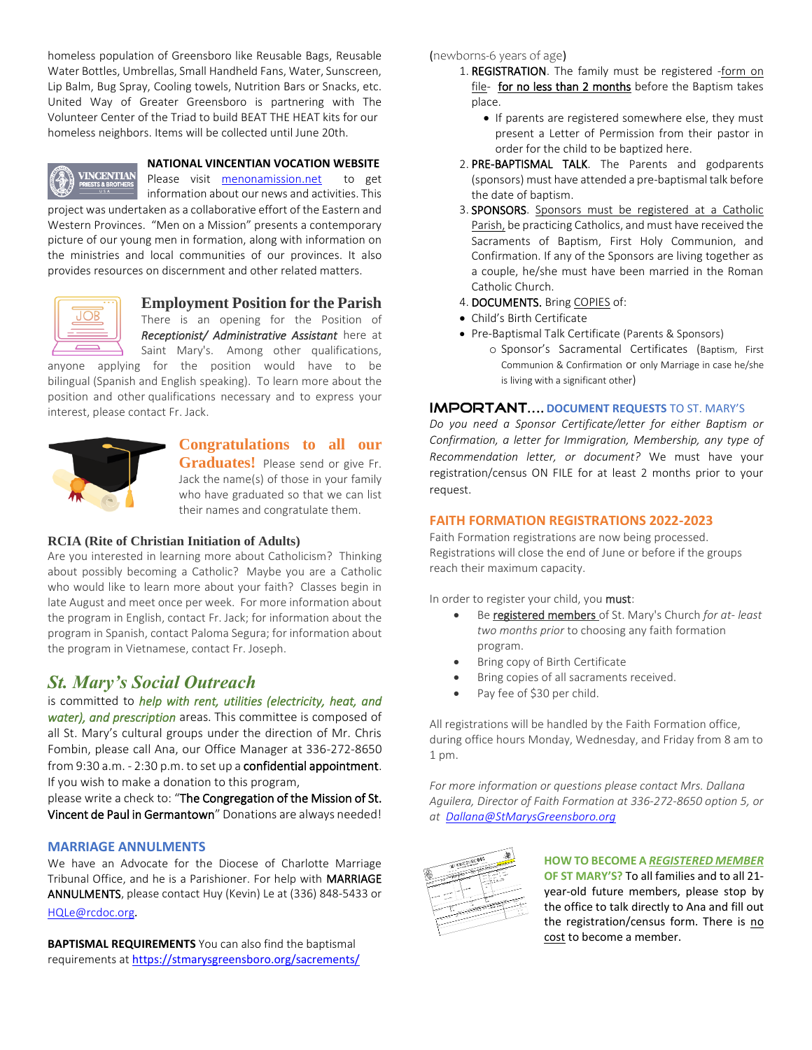homeless population of Greensboro like Reusable Bags, Reusable Water Bottles, Umbrellas, Small Handheld Fans, Water, Sunscreen, Lip Balm, Bug Spray, Cooling towels, Nutrition Bars or Snacks, etc. United Way of Greater Greensboro is partnering with The Volunteer Center of the Triad to build BEAT THE HEAT kits for our homeless neighbors. Items will be collected until June 20th.



#### **NATIONAL VINCENTIAN VOCATION WEBSITE**

Please visit menonamission.net to get information about our news and activities. This

project was undertaken as a collaborative effort of the Eastern and Western Provinces. "Men on a Mission" presents a contemporary picture of our young men in formation, along with information on the ministries and local communities of our provinces. It also provides resources on discernment and other related matters.



**Employment Position for the Parish**

There is an opening for the Position of *Receptionist/ Administrative Assistant* here at Saint Mary's. Among other qualifications,

anyone applying for the position would have to be bilingual (Spanish and English speaking). To learn more about the position and other qualifications necessary and to express your interest, please contact Fr. Jack.



#### **Congratulations to all our**

**Graduates!** Please send or give Fr. Jack the name(s) of those in your family who have graduated so that we can list their names and congratulate them.

#### **RCIA (Rite of Christian Initiation of Adults)**

Are you interested in learning more about Catholicism? Thinking about possibly becoming a Catholic? Maybe you are a Catholic who would like to learn more about your faith? Classes begin in late August and meet once per week. For more information about the program in English, contact Fr. Jack; for information about the program in Spanish, contact Paloma Segura; for information about the program in Vietnamese, contact Fr. Joseph.

### *St. Mary's Social Outreach*

is committed to *help with rent, utilities (electricity, heat, and water), and prescription* areas. This committee is composed of all St. Mary's cultural groups under the direction of Mr. Chris Fombin, please call Ana, our Office Manager at 336-272-8650 from 9:30 a.m. - 2:30 p.m. to set up a confidential appointment. If you wish to make a donation to this program,

please write a check to: "The Congregation of the Mission of St. Vincent de Paul in Germantown" Donations are always needed!

#### **MARRIAGE ANNULMENTS**

We have an Advocate for the Diocese of Charlotte Marriage Tribunal Office, and he is a Parishioner. For help with MARRIAGE ANNULMENTS, please contact Huy (Kevin) Le at (336) 848-5433 or HQLe@rcdoc.org*.*

**BAPTISMAL REQUIREMENTS** You can also find the baptismal requirements at https://stmarysgreensboro.org/sacrements/

#### (newborns-6 years of age)

- 1. REGISTRATION. The family must be registered -form on file- for no less than 2 months before the Baptism takes place.
	- If parents are registered somewhere else, they must present a Letter of Permission from their pastor in order for the child to be baptized here.
- 2. PRE-BAPTISMAL TALK. The Parents and godparents (sponsors) must have attended a pre-baptismal talk before the date of baptism.
- 3. SPONSORS. Sponsors must be registered at a Catholic Parish, be practicing Catholics, and must have received the Sacraments of Baptism, First Holy Communion, and Confirmation. If any of the Sponsors are living together as a couple, he/she must have been married in the Roman Catholic Church.
- 4. DOCUMENTS. Bring COPIES of:
- Child's Birth Certificate
- Pre-Baptismal Talk Certificate (Parents & Sponsors)
	- o Sponsor's Sacramental Certificates (Baptism, First Communion & Confirmation or only Marriage in case he/she is living with a significant other)

#### **IMPORTANT.... DOCUMENT REQUESTS TO ST. MARY'S**

*Do you need a Sponsor Certificate/letter for either Baptism or Confirmation, a letter for Immigration, Membership, any type of Recommendation letter, or document?* We must have your registration/census ON FILE for at least 2 months prior to your request.

#### **FAITH FORMATION REGISTRATIONS 2022-2023**

Faith Formation registrations are now being processed. Registrations will close the end of June or before if the groups reach their maximum capacity.

In order to register your child, you must:

- Be registered members of St. Mary's Church *for at- least two months prior* to choosing any faith formation program.
- Bring copy of Birth Certificate
- Bring copies of all sacraments received.
- Pay fee of \$30 per child.

All registrations will be handled by the Faith Formation office, during office hours Monday, Wednesday, and Friday from 8 am to 1 pm.

*For more information or questions please contact Mrs. Dallana Aguilera, Director of Faith Formation at 336-272-8650 option 5, or at Dallana@StMarysGreensboro.org*



#### **HOW TO BECOME A** *REGISTERED MEMBER* **OF ST MARY'S?** To all families and to all 21 year-old future members, please stop by the office to talk directly to Ana and fill out the registration/census form. There is no cost to become a member.